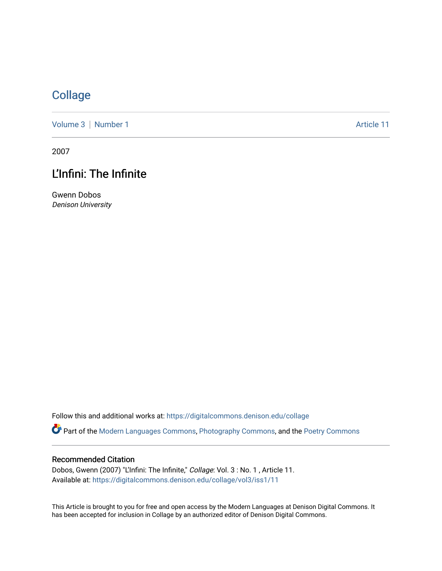## **[Collage](https://digitalcommons.denison.edu/collage)**

[Volume 3](https://digitalcommons.denison.edu/collage/vol3) | [Number 1](https://digitalcommons.denison.edu/collage/vol3/iss1) Article 11

2007

# L'Infini: The Infinite

Gwenn Dobos Denison University

Follow this and additional works at: [https://digitalcommons.denison.edu/collage](https://digitalcommons.denison.edu/collage?utm_source=digitalcommons.denison.edu%2Fcollage%2Fvol3%2Fiss1%2F11&utm_medium=PDF&utm_campaign=PDFCoverPages) 

Part of the [Modern Languages Commons,](http://network.bepress.com/hgg/discipline/1130?utm_source=digitalcommons.denison.edu%2Fcollage%2Fvol3%2Fiss1%2F11&utm_medium=PDF&utm_campaign=PDFCoverPages) [Photography Commons](http://network.bepress.com/hgg/discipline/1142?utm_source=digitalcommons.denison.edu%2Fcollage%2Fvol3%2Fiss1%2F11&utm_medium=PDF&utm_campaign=PDFCoverPages), and the [Poetry Commons](http://network.bepress.com/hgg/discipline/1153?utm_source=digitalcommons.denison.edu%2Fcollage%2Fvol3%2Fiss1%2F11&utm_medium=PDF&utm_campaign=PDFCoverPages)

#### Recommended Citation

Dobos, Gwenn (2007) "L'Infini: The Infinite," Collage: Vol. 3 : No. 1 , Article 11. Available at: [https://digitalcommons.denison.edu/collage/vol3/iss1/11](https://digitalcommons.denison.edu/collage/vol3/iss1/11?utm_source=digitalcommons.denison.edu%2Fcollage%2Fvol3%2Fiss1%2F11&utm_medium=PDF&utm_campaign=PDFCoverPages)

This Article is brought to you for free and open access by the Modern Languages at Denison Digital Commons. It has been accepted for inclusion in Collage by an authorized editor of Denison Digital Commons.